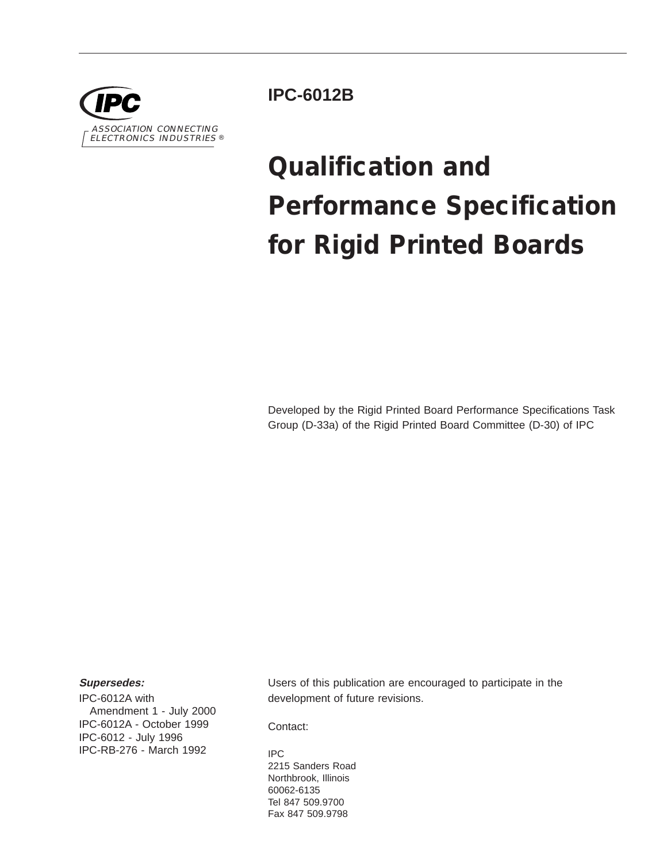

**IPC-6012B**

# **Qualification and Performance Specification for Rigid Printed Boards**

Developed by the Rigid Printed Board Performance Specifications Task Group (D-33a) of the Rigid Printed Board Committee (D-30) of IPC

### **Supersedes:**

IPC-6012A with Amendment 1 - July 2000 IPC-6012A - October 1999 IPC-6012 - July 1996 IPC-RB-276 - March 1992

Users of this publication are encouraged to participate in the development of future revisions.

Contact:

IPC 2215 Sanders Road Northbrook, Illinois 60062-6135 Tel 847 509.9700 Fax 847 509.9798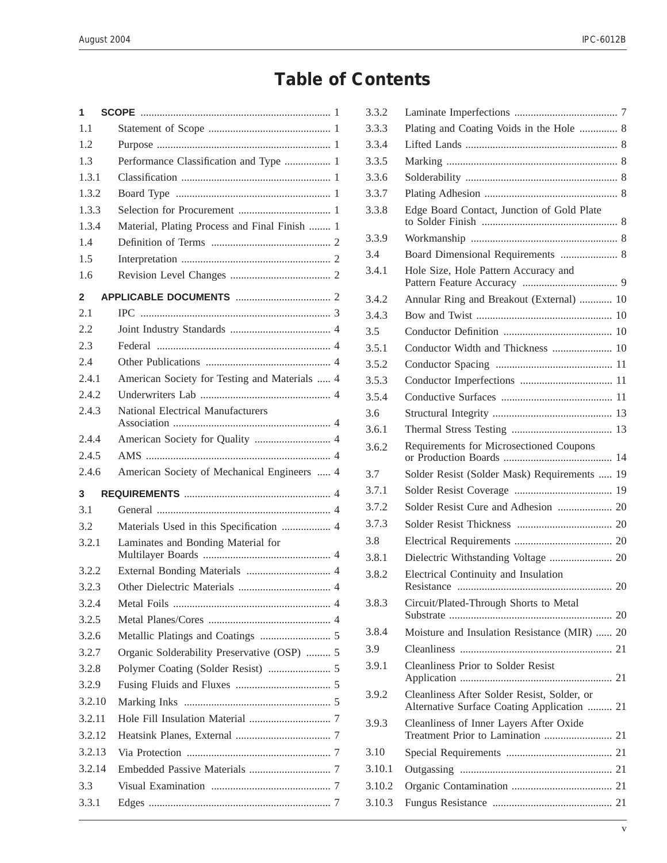# **Table of Contents**

| 1      |                                               |  |
|--------|-----------------------------------------------|--|
| 1.1    |                                               |  |
| 1.2    |                                               |  |
| 1.3    | Performance Classification and Type  1        |  |
| 1.3.1  |                                               |  |
| 1.3.2  |                                               |  |
| 1.3.3  |                                               |  |
| 1.3.4  | Material, Plating Process and Final Finish  1 |  |
| 1.4    |                                               |  |
| 1.5    |                                               |  |
| 1.6    |                                               |  |
| 2      |                                               |  |
| 2.1    |                                               |  |
| 2.2    |                                               |  |
| 2.3    |                                               |  |
| 2.4    |                                               |  |
| 2.4.1  | American Society for Testing and Materials  4 |  |
| 2.4.2  |                                               |  |
| 2.4.3  | <b>National Electrical Manufacturers</b>      |  |
| 2.4.4  | American Society for Quality  4               |  |
| 2.4.5  |                                               |  |
| 2.4.6  | American Society of Mechanical Engineers  4   |  |
| 3      |                                               |  |
| 3.1    |                                               |  |
| 3.2    | Materials Used in this Specification  4       |  |
| 3.2.1  | Laminates and Bonding Material for            |  |
| 3.2.2  |                                               |  |
| 3.2.3  |                                               |  |
| 3.2.4  |                                               |  |
| 3.2.5  |                                               |  |
| 3.2.6  |                                               |  |
| 3.2.7  | Organic Solderability Preservative (OSP)  5   |  |
| 3.2.8  |                                               |  |
| 3.2.9  |                                               |  |
| 3.2.10 |                                               |  |
| 3.2.11 |                                               |  |
| 3.2.12 |                                               |  |
| 3.2.13 |                                               |  |
| 3.2.14 |                                               |  |
| 3.3    |                                               |  |
| 3.3.1  |                                               |  |
|        |                                               |  |

| 3.3.2  |                                                                                            |  |
|--------|--------------------------------------------------------------------------------------------|--|
| 3.3.3  | Plating and Coating Voids in the Hole  8                                                   |  |
| 3.3.4  |                                                                                            |  |
| 3.3.5  |                                                                                            |  |
| 3.3.6  |                                                                                            |  |
| 3.3.7  |                                                                                            |  |
| 3.3.8  | Edge Board Contact, Junction of Gold Plate                                                 |  |
| 3.3.9  |                                                                                            |  |
| 3.4    | Board Dimensional Requirements  8                                                          |  |
| 3.4.1  | Hole Size, Hole Pattern Accuracy and                                                       |  |
| 3.4.2  | Annular Ring and Breakout (External)  10                                                   |  |
| 3.4.3  |                                                                                            |  |
| 3.5    |                                                                                            |  |
| 3.5.1  | Conductor Width and Thickness  10                                                          |  |
| 3.5.2  |                                                                                            |  |
| 3.5.3  |                                                                                            |  |
| 3.5.4  |                                                                                            |  |
| 3.6    |                                                                                            |  |
| 3.6.1  |                                                                                            |  |
| 3.6.2  | Requirements for Microsectioned Coupons                                                    |  |
| 3.7    | Solder Resist (Solder Mask) Requirements  19                                               |  |
| 3.7.1  |                                                                                            |  |
| 3.7.2  | Solder Resist Cure and Adhesion  20                                                        |  |
| 3.7.3  |                                                                                            |  |
| 3.8    |                                                                                            |  |
| 3.8.1  |                                                                                            |  |
| 3.8.2  | Electrical Continuity and Insulation                                                       |  |
| 3.8.3  | Circuit/Plated-Through Shorts to Metal                                                     |  |
| 3.8.4  | Moisture and Insulation Resistance (MIR)  20                                               |  |
| 3.9    |                                                                                            |  |
| 3.9.1  | <b>Cleanliness Prior to Solder Resist</b>                                                  |  |
| 3.9.2  | Cleanliness After Solder Resist, Solder, or<br>Alternative Surface Coating Application  21 |  |
| 3.9.3  | Cleanliness of Inner Layers After Oxide                                                    |  |
| 3.10   |                                                                                            |  |
| 3.10.1 |                                                                                            |  |
| 3.10.2 |                                                                                            |  |
| 3.10.3 |                                                                                            |  |
|        |                                                                                            |  |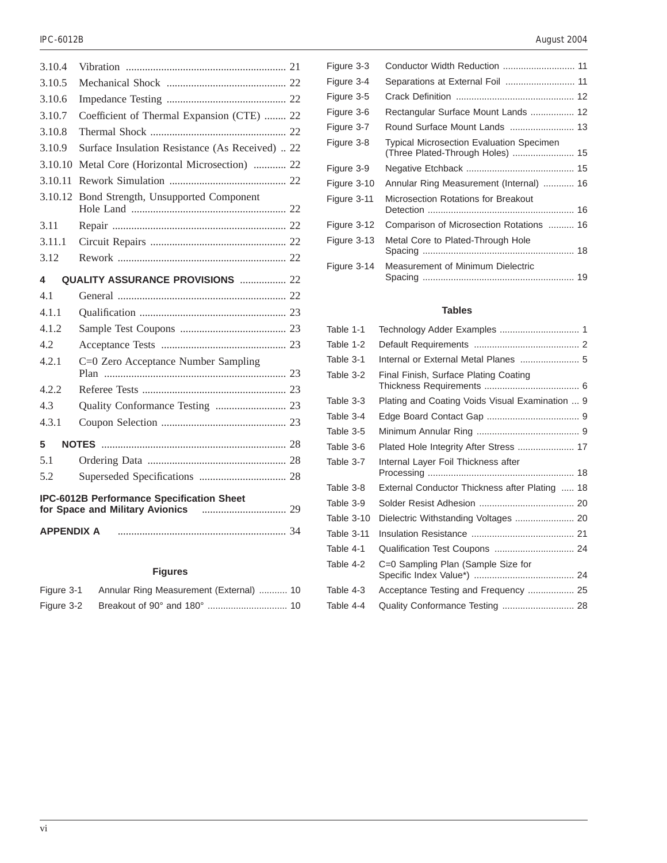| 3.10.4                                           |                                                 |  |
|--------------------------------------------------|-------------------------------------------------|--|
| 3.10.5                                           |                                                 |  |
| 3.10.6                                           |                                                 |  |
| 3.10.7                                           | Coefficient of Thermal Expansion (CTE)  22      |  |
| 3.10.8                                           |                                                 |  |
| 3.10.9                                           | Surface Insulation Resistance (As Received)  22 |  |
| 3.10.10                                          | Metal Core (Horizontal Microsection)  22        |  |
| 3.10.11                                          |                                                 |  |
| 3.10.12                                          | Bond Strength, Unsupported Component            |  |
| 3.11                                             |                                                 |  |
| 3.11.1                                           |                                                 |  |
| 3.12                                             |                                                 |  |
| <b>QUALITY ASSURANCE PROVISIONS  22</b><br>4     |                                                 |  |
| 4.1                                              |                                                 |  |
| 4.1.1                                            |                                                 |  |
| 4.1.2                                            |                                                 |  |
| 4.2                                              |                                                 |  |
| 4.2.1                                            | C=0 Zero Acceptance Number Sampling             |  |
| 4.2.2                                            |                                                 |  |
| 4.3                                              |                                                 |  |
| 4.3.1                                            |                                                 |  |
| 5                                                |                                                 |  |
| 5.1                                              |                                                 |  |
| 5.2                                              |                                                 |  |
| <b>IPC-6012B Performance Specification Sheet</b> |                                                 |  |
| <b>APPENDIX A</b>                                |                                                 |  |

## **Figures**

| Figure 3-1 | Annular Ring Measurement (External)  10 |  |
|------------|-----------------------------------------|--|
| Figure 3-2 |                                         |  |

| Figure 3-3  | Conductor Width Reduction  11                                                       |
|-------------|-------------------------------------------------------------------------------------|
| Figure 3-4  |                                                                                     |
| Figure 3-5  |                                                                                     |
| Figure 3-6  | Rectangular Surface Mount Lands  12                                                 |
| Figure 3-7  |                                                                                     |
| Figure 3-8  | <b>Typical Microsection Evaluation Specimen</b><br>(Three Plated-Through Holes)  15 |
| Figure 3-9  |                                                                                     |
| Figure 3-10 | Annular Ring Measurement (Internal)  16                                             |
| Figure 3-11 | Microsection Rotations for Breakout                                                 |
| Figure 3-12 | Comparison of Microsection Rotations  16                                            |
| Figure 3-13 | Metal Core to Plated-Through Hole                                                   |
| Figure 3-14 | Measurement of Minimum Dielectric                                                   |
|             |                                                                                     |

### **Tables**

| Table 1-1         |                                                 |
|-------------------|-------------------------------------------------|
| Table 1-2         |                                                 |
| Table 3-1         | Internal or External Metal Planes  5            |
| Table 3-2         | Final Finish, Surface Plating Coating           |
| Table 3-3         | Plating and Coating Voids Visual Examination  9 |
| Table 3-4         |                                                 |
| Table 3-5         |                                                 |
| Table 3-6         | Plated Hole Integrity After Stress  17          |
| Table 3-7         | Internal Layer Foil Thickness after             |
| Table 3-8         | External Conductor Thickness after Plating  18  |
| Table 3-9         |                                                 |
| <b>Table 3-10</b> | Dielectric Withstanding Voltages  20            |
| Table 3-11        |                                                 |
| Table 4-1         | Qualification Test Coupons  24                  |
| Table 4-2         | C=0 Sampling Plan (Sample Size for              |
| Table 4-3         | Acceptance Testing and Frequency  25            |
| Table 4-4         | Quality Conformance Testing  28                 |